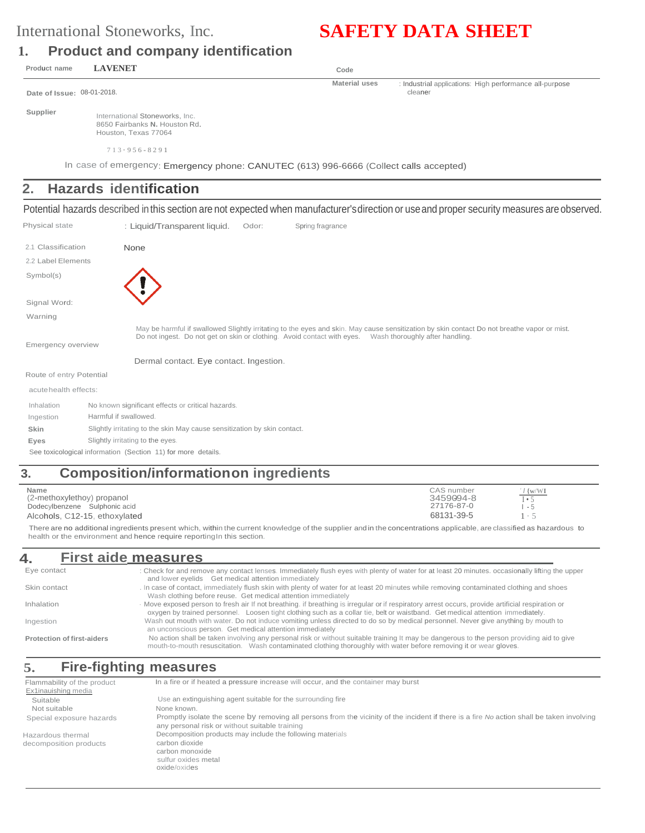# International Stoneworks, Inc. **SAFETY DATA SHEET**

## **1. Product and company identification**

**Product name LAVENET Code**

**Material uses** : Industrial applications: High performance all-purpose cleaner

**Date of Issue:** 08-01-2018.

**Supplier**

International Stoneworks, Inc. 8650 Fairbanks **N.** Houston Rd. Houston, Texas 77064

In case of emergency: Emergency phone: CANUTEC (613) 996-6666 (Collect calls accepted)

# **2. Hazards identification**

Potential hazards described in this section are not expected when manufacturer'sdirection or useand proper security measures are observed.

| Physical state           | : Liquid/Transparent liquid.<br>Spring fragrance<br>Odor:                                                                                                                                                                                             |
|--------------------------|-------------------------------------------------------------------------------------------------------------------------------------------------------------------------------------------------------------------------------------------------------|
| 2.1 Classification       | None                                                                                                                                                                                                                                                  |
| 2.2 Label Elements       |                                                                                                                                                                                                                                                       |
| Symbol(s)                |                                                                                                                                                                                                                                                       |
| Signal Word:             |                                                                                                                                                                                                                                                       |
| Warning                  |                                                                                                                                                                                                                                                       |
| Emergency overview       | May be harmful if swallowed Slightly irritating to the eyes and skin. May cause sensitization by skin contact Do not breathe vapor or mist<br>Do not ingest. Do not get on skin or clothing. Avoid contact with eyes. Wash thoroughly after handling. |
|                          | Dermal contact. Eye contact. Ingestion.                                                                                                                                                                                                               |
| Route of entry Potential |                                                                                                                                                                                                                                                       |
| acute health effects:    |                                                                                                                                                                                                                                                       |
| Inhalation               | No known significant effects or critical hazards.                                                                                                                                                                                                     |
| Ingestion                | Harmful if swallowed.                                                                                                                                                                                                                                 |
| Skin                     | Slightly irritating to the skin May cause sensitization by skin contact.                                                                                                                                                                              |
| Eyes                     | Slightly irritating to the eyes.                                                                                                                                                                                                                      |

See toxicological information (Section 11) for more details.

# **3. Composition/informationon ingredients**

| Name<br>(2-methoxylethoy) propanol<br>Dodecylbenzene Sulphonic acid<br>Alcohols, C12-15, ethoxylated | CAS number<br>3459094-8<br>27176-87-0<br>68131-39-5 | $1\}$ WVI<br>$I \bullet 5$<br>- 5 |  |
|------------------------------------------------------------------------------------------------------|-----------------------------------------------------|-----------------------------------|--|
|                                                                                                      |                                                     |                                   |  |

There are no additional ingredients present which, within the current knowledge of the supplier andin the concentrations applicable, are classified as hazardous to health or the environment and hence require reporting In this section.

#### **4. First aide measures** Eye contact Skin contact Inhalation Ingestion **Protection of first-aiders** : Check for and remove any contact lenses. Immediately flush eyes with plenty of water for at least 20 minutes. occasionally lifting the upper and lower eyelids Get medical attention immediately . In case of contact, immediately flush skin with plenty of water for at least 20 minutes while removing contaminated clothing and shoes Wash clothing before reuse. Get medical attention immediately · Move exposed person to fresh air If not breathing. if breathing is irregular or if respiratory arrest occurs, provide artificial respiration or oxygen by trained personnel. Loosen tight clothing such as a collar tie, belt or waistband. Get medical attention immediately. Wash out mouth with water. Do not induce vomiting unless directed to do so by medical personnel. Never give anything by mouth to an unconscious person. Get medical attention immediately No action shall be taken involving any personal risk or without suitable training It may be dangerous to the person providing aid to give mouth-to-mouth resuscitation. Wash contaminated clothing thoroughly with water before removing it or wear gloves.

# **5. Fire-fighting measures**

| Flammability of the product | In a fire or if heated a pressure increase will occur, and the container may burst                                                                                                           |
|-----------------------------|----------------------------------------------------------------------------------------------------------------------------------------------------------------------------------------------|
| Ex1inauishing media         |                                                                                                                                                                                              |
| Suitable                    | Use an extinguishing agent suitable for the surrounding fire                                                                                                                                 |
| Not suitable                | None known.                                                                                                                                                                                  |
| Special exposure hazards    | Promptly isolate the scene by removing all persons from the vicinity of the incident if there is a fire No action shall be taken involving<br>any personal risk or without suitable training |
| Hazardous thermal           | Decomposition products may include the following materials                                                                                                                                   |
| decomposition products      | carbon dioxide<br>carbon monoxide<br>sulfur oxides metal<br>oxide/oxides                                                                                                                     |

7 1 3 · 9 5 6 - 8 2 9 1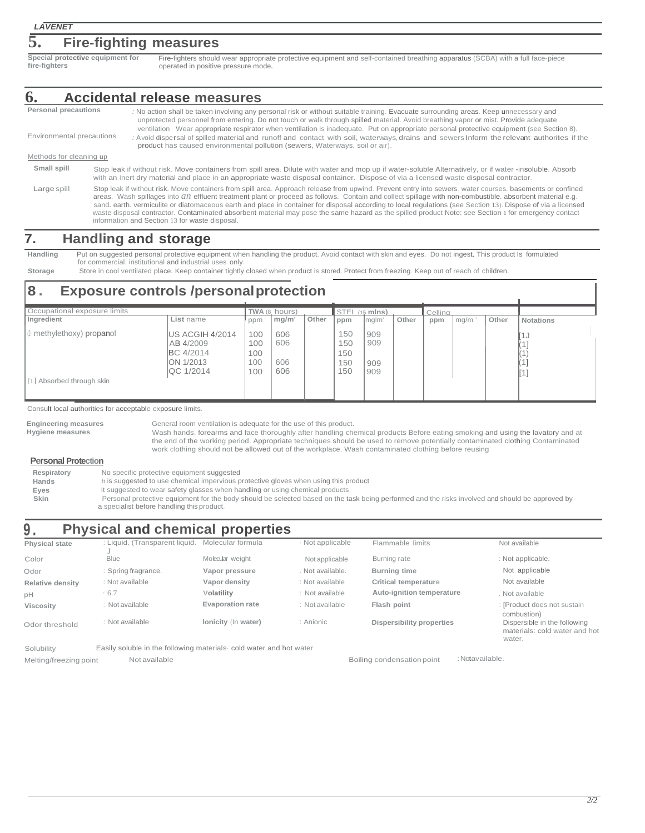### **5. Fire-fighting measures**

**Special protective equipment for fire-fighters**

Fire-fighters should wear appropriate protective equipment and self-contained breathing apparatus (SCBA) with a full face-piece operated in positive pressure mode.

#### **6. Accidental release measures**

- **Personal precautions** Environmental precautions Methods for cleaning up *:* No action shall be taken involving any personal risk or without suitable training. Evacuate surrounding areas. Keep unnecessary and unprotected personnel from entering. Do not touch or walk through spilled material. Avoid breathing vapor or mist. Provide adequate ventilation Wear appropriate respirator when ventilation is inadequate. Put on appropriate personal protective equipment (see Section 8). : Avoid dispersal of spilled material and runoff and contact with soil, waterways, drains and sewers Inform the relevant authorifes if the product has caused environmental pollution (sewers, Waterways, soil or air). **Small spill** Large spill Stop leak if without risk. Move containers from spill area. Dilute with water and mop up if water-soluble Alternatively, or if water -insoluble. Absorb with an Inert dry material and place in an appropriate waste disposal container. Dispose of via a licensed waste disposal contractor Stop leak if without risk. Move containers from spill area. Approach release from upwind. Prevent entry into sewers. water courses. basements or confined
	- areas. Wash spillages into *an* effluent treatment plant or proceed as follows. Contain and collect spillage with non-combustible. absorbent material e.g. sand. earth. vermiculite or diatomaceous earth and place in container for disposal according to local regulations (see Section 13). Dispose of via a licensed waste disposal contractor. Contaminated absorbent material may pose the same hazard as the spilled product Note: see Section 1 for emergency contact information and Section 13 for waste disposal.

### **7. Handling and storage**

**Handling** Put on suggested personal protective equipment when handling the product. Avoid contact with skin and eyes. Do not ingest. This product Is formulated for commercial. institutional and industrial uses only.

Storage Store in cool ventilated place. Keep container tightly closed when product is stored. Protect from freezing. Keep out of reach of children.

# **8. Exposure controls /personalprotection**

| Occupational exposure limits |                                                                                     |                                 | TWA (8, hours)           |       | STEL (15 mlns)                  |                          |       | Cellina |      |       |           |
|------------------------------|-------------------------------------------------------------------------------------|---------------------------------|--------------------------|-------|---------------------------------|--------------------------|-------|---------|------|-------|-----------|
| Ingredient                   | List name                                                                           | ppm                             | mg/m'                    | Other | ppm                             | mglm'                    | Other | ppm     | mg/m | Other | Notations |
| 2 methylethoxy) propanol     | US ACGIH 4/2014<br>AB 4/2009<br>BC 4/2014<br><b>ION 1/2013</b><br><b>IQC 1/2014</b> | 100<br>100<br>100<br>100<br>100 | 606<br>606<br>606<br>606 |       | 150<br>150<br>150<br>150<br>150 | 909<br>909<br>909<br>909 |       |         |      |       | ∣J        |
| [1] Absorbed through skin    |                                                                                     |                                 |                          |       |                                 |                          |       |         |      |       |           |

Consult local authorities for acceptable exposure limits.

| Engineering measures | General room ventilation is adequate for the use of this product.                                                             |
|----------------------|-------------------------------------------------------------------------------------------------------------------------------|
| Hygiene measures     | Wash hands, forearms and face thoroughly after handling chemical products Before eating smoking and using the lavatory and at |
|                      | the end of the working period. Appropriate techniques should be used to remove potentially contaminated clothing Contaminated |
|                      | work clothing should not be allowed out of the workplace. Wash contaminated clothing before reusing                           |
|                      |                                                                                                                               |

#### **Personal Protection**

| Respiratory | No specific protective equipment suggested                                                                                                       |
|-------------|--------------------------------------------------------------------------------------------------------------------------------------------------|
| Hands       | ft is suggested to use chemical impervious protective gloves when using this product                                                             |
| Eves        | It suggested to wear safety glasses when handling or using chemical products                                                                     |
| <b>Skin</b> | Personal protective equipment for the body should be selected based on the task being performed and the risks involved and should be approved by |
|             | a specialist before handling this product.                                                                                                       |

# **9. Physical and chemical properties**

| <b>Physical state</b>  | : Liquid. (Transparent liquid.                                     | Molecular formula       | · Not applicable | Flammable limits           | Not available                                                           |
|------------------------|--------------------------------------------------------------------|-------------------------|------------------|----------------------------|-------------------------------------------------------------------------|
| Color                  | <b>Blue</b>                                                        | Molecular weight        | Not applicable   | Burning rate               | : Not applicable.                                                       |
| Odor                   | : Spring fragrance.                                                | Vapor pressure          | : Not available. | <b>Burning time</b>        | Not applicable                                                          |
| Relative density       | : Not available                                                    | Vapor density           | : Not available  | Critical temperature       | Not available                                                           |
| pH                     | .6.7                                                               | Volatility              | : Not available  | Auto-ignition temperature  | . Not available                                                         |
| <b>Viscosity</b>       | : Not available                                                    | <b>Evaporation rate</b> | : Not available  | Flash point                | : [Product does not sustain<br>combustion)                              |
| Odor threshold         | : Not available                                                    | Ionicity (In water)     | : Anionic        | Dispersibility properties  | Dispersible in the following<br>materials: cold water and hot<br>water. |
| Solubility             | Easily soluble in the following materials cold water and hot water |                         |                  |                            |                                                                         |
| Melting/freezing point | Not available                                                      |                         |                  | Boiling condensation point | : Notavailable.                                                         |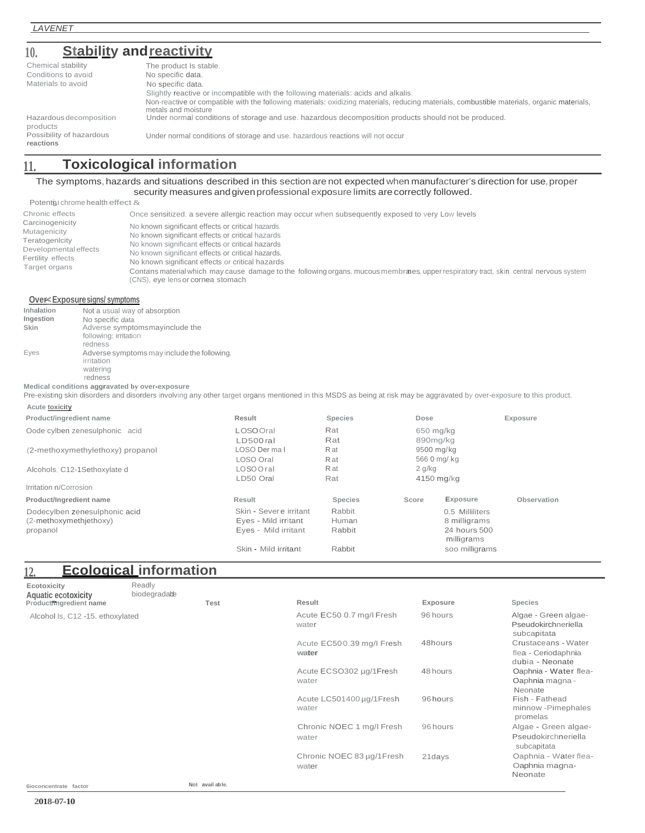### **10. Stability andreactivity**

| Chemical stability<br>Conditions to avoid | The product Is stable.<br>No specific data.                                                                                                                        |
|-------------------------------------------|--------------------------------------------------------------------------------------------------------------------------------------------------------------------|
|                                           |                                                                                                                                                                    |
| Materials to avoid                        | No specific data.                                                                                                                                                  |
|                                           | Slightly reactive or incompatible with the following materials: acids and alkalis.                                                                                 |
|                                           | Non-reactive or compatible with the following materials: oxidizing materials, reducing materials, combustible materials, organic materials,<br>metals and moisture |
| Hazardous decomposition<br>products       | Under normal conditions of storage and use, hazardous decomposition products should not be produced.                                                               |
| Possibility of hazardous<br>reactions     | Under normal conditions of storage and use. hazardous reactions will not occur                                                                                     |

# **11. Toxicological information**

#### The symptoms, hazards and situations described in this section are not expected when manufacturer's direction for use, proper security measures andgivenprofessional exposure limits arecorrectly followed.

Potent $\mathfrak g$ I chrome health effect  $\&$ 

| Chronic effects<br>Carcinogenicity<br>Mutagenicity<br>Teratogenlcity<br>Developmental effects<br>Fertility effects<br>Target organs | Once sensitized, a severe allergic reaction may occur when subsequently exposed to very Low levels<br>No known significant effects or critical hazards.<br>No known significant effects or critical hazards<br>No known significant effects or critical hazards<br>No known significant effects or critical hazards.<br>No known significant effects or critical hazards<br>Contains material which may cause damage to the following organs, mucous membranes, upper respiratory tract, skin, central nervous system<br>(CNS), eye lens or cornea stomach |
|-------------------------------------------------------------------------------------------------------------------------------------|------------------------------------------------------------------------------------------------------------------------------------------------------------------------------------------------------------------------------------------------------------------------------------------------------------------------------------------------------------------------------------------------------------------------------------------------------------------------------------------------------------------------------------------------------------|
|-------------------------------------------------------------------------------------------------------------------------------------|------------------------------------------------------------------------------------------------------------------------------------------------------------------------------------------------------------------------------------------------------------------------------------------------------------------------------------------------------------------------------------------------------------------------------------------------------------------------------------------------------------------------------------------------------------|

#### **Over-<Exposure signs/ symptoms**

| Inhalation | Not a usual way of absorption                                         |
|------------|-----------------------------------------------------------------------|
| Ingestion  | No specific data.                                                     |
| Skin       | Adverse symptomsmay include the                                       |
|            | following: irritation                                                 |
|            | redness                                                               |
| Eyes       | Adverse symptoms may include the following.<br>irritation<br>watering |
|            | redness                                                               |

**Medical conditions aggravated by over-exposure**

Pre-existing skin disorders and disorders involving any other target organs mentioned in this MSDS as being at risk may be aggravated by over-exposure to this product. **Acute toxicity**

| Result                 | <b>Species</b> |       |                            | Exposure                                                                              |
|------------------------|----------------|-------|----------------------------|---------------------------------------------------------------------------------------|
| LOSO Oral              | Rat            |       |                            |                                                                                       |
| $LD500$ ral            | Rat            |       |                            |                                                                                       |
| LOSO Der mal           | <b>R</b> at    |       |                            |                                                                                       |
| LOSO Oral              | <b>R</b> at    |       |                            |                                                                                       |
| LOSO Oral              | R at           |       |                            |                                                                                       |
| LD50 Oral              | Rat            |       |                            |                                                                                       |
|                        |                |       |                            |                                                                                       |
| Result                 | <b>Species</b> | Score | Exposure                   | Observation                                                                           |
| Skin - Severe irritant | Rabbit         |       | 0.5 Milliliters            |                                                                                       |
| Eyes - Mild irritant   | Human          |       | 8 milligrams               |                                                                                       |
| Eves - Mild irritant   | Rabbit         |       | 24 hours 500<br>milligrams |                                                                                       |
| Skin - Mild irritant   | Rabbit         |       | soo milligrams             |                                                                                       |
|                        |                |       |                            | Dose<br>650 mg/kg<br>890mg/kg<br>9500 mg/kg<br>566 0 mg/ kg<br>$2$ g/kg<br>4150 mg/kg |

| 12.                                                           | <b>Ecological information</b> |             |                                    |          |                                                               |
|---------------------------------------------------------------|-------------------------------|-------------|------------------------------------|----------|---------------------------------------------------------------|
| Ecotoxicity<br>Aquatic ecotoxicity<br>Product/ingredient name | Readly<br>biodegradable       | <b>Test</b> | Result                             | Exposure | <b>Species</b>                                                |
| Alcohol Is, C12 -15. ethoxylated                              |                               |             | Acute EC50 0.7 mg/l Fresh<br>water | 96 hours | Algae - Green algae-<br>Pseudokirchneriella<br>subcapitata    |
|                                                               |                               |             | Acute EC500.39 mg/l Fresh<br>water | 48hours  | Crustaceans - Water<br>flea - Ceriodaphnia<br>dubia - Neonate |
|                                                               |                               |             | Acute ECSO302 µg/1Fresh<br>water   | 48 hours | Oaphnia - Water flea-<br>Oaphnia magna -<br>Neonate           |
|                                                               |                               |             | Acute LC501400 µg/1Fresh<br>water  | 96 hours | Fish - Fathead<br>minnow -Pimephales<br>promelas              |
|                                                               |                               |             | Chronic NOEC 1 mg/l Fresh<br>water | 96 hours | Algae - Green algae-<br>Pseudokirchneriella<br>subcapitata    |
|                                                               |                               |             | Chronic NOEC 83 µg/1Fresh<br>water | 21 days  | Oaphnia - Water flea-<br>Oaphnia magna-<br>Neonate            |